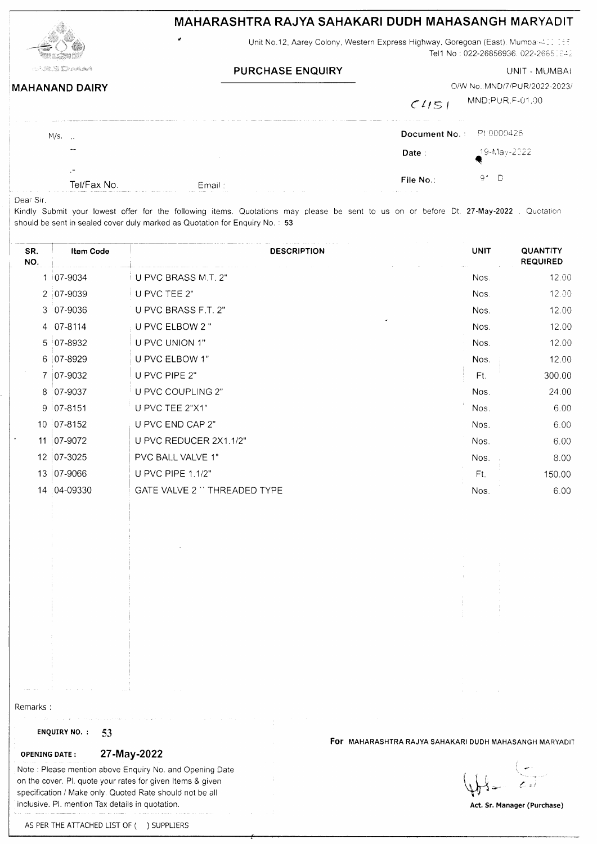| MAHARASHTRA RAJYA SAHAKARI DUDH MAHASANGH MARYADIT |  |
|----------------------------------------------------|--|
|                                                    |  |



## Unit No.12, Aarey Colony, Western Express Highway, Goregoan (East). Mumbar-400 055 Tel1 No: 022-26856936, 022-26850642

UNIT - MUMBAI

| <b>PURCHASE ENQUIRY</b> |  |
|-------------------------|--|
|-------------------------|--|

| <b>MAHANAND DAIRY</b>                         |                                                                                                                   | O/W No.: MND/7/PUR/2022-2023/<br>MND;PUR.F-01.00<br>C151 |
|-----------------------------------------------|-------------------------------------------------------------------------------------------------------------------|----------------------------------------------------------|
| the company of the company of the<br>$M/s.$ . | and some and compared compared compared and an extent of the contract of the compared compared of the compared of | .<br>Document No.: PH0000426                             |
| $- -$                                         | <b>Contract</b>                                                                                                   | _19-May-2022;<br>Date :                                  |
| $\,$<br>$\sim$<br>Tel/Fax No.                 | Email:                                                                                                            | 91 D.<br>File No.:                                       |

Dear Sir,

Kindly Submit your lowest offer for the following items. Quotations may please be sent to us on or before Dt. 27-May-2022. Quotation should be sent in sealed cover duly marked as Quotation for Enquiry No.: 53

| SR.<br>NO.      | <b>Item Code</b> | <b>DESCRIPTION</b>          | <b>UNIT</b> | QUANTITY<br><b>REQUIRED</b> |
|-----------------|------------------|-----------------------------|-------------|-----------------------------|
|                 | 1 07-9034        | U PVC BRASS M.T. 2"         | Nos.        | 12.00                       |
|                 | 2 07-9039        | U PVC TEE 2"                | Nos.        | 12.00                       |
|                 | 3 07-9036        | U PVC BRASS F.T. 2"         | Nos.        | 12.00                       |
|                 | 4 07-8114        | U PVC ELBOW 2 "             | Nos.        | 12.00                       |
|                 | 5 07-8932        | U PVC UNION 1"              | Nos.        | 12.00                       |
|                 | 6 07-8929        | U PVC ELBOW 1"              | Nos.        | 12.00                       |
|                 | 7   07-9032      | U PVC PIPE 2"               | Ft.         | 300.00                      |
| 8               | $07-9037$        | U PVC COUPLING 2"           | Nos.        | 24.00                       |
|                 | $9   07-8151$    | U PVC TEE 2"X1"             | Nos.        | 6.00                        |
|                 | 10 07-8152       | U PVC END CAP 2"            | Nos.        | 6.00                        |
| 11              | $ 07-9072 $      | U PVC REDUCER 2X1.1/2"      | Nos.        | 6.00                        |
| 12 <sup>°</sup> | 07-3025          | PVC BALL VALVE 1"           | Nos.        | 8.00                        |
| 13              | 07-9066          | <b>U PVC PIPE 1.1/2"</b>    | Ft.         | 150.00                      |
| 14              | 04-09330         | GATE VALVE 2 "THREADED TYPE | Nos.        | 6.00                        |

Remarks:

### ENQUIRY NO. : 53

## 27-May-2022 **OPENING DATE:**

Note: Please mention above Enquiry No. and Opening Date on the cover. Pl. quote your rates for given Items & given specification / Make only. Quoted Rate should not be all inclusive. Pl. mention Tax details in quotation.

 $\sim$   $\sim$ 

For MAHARASHTRA RAJYA SAHAKARI DUDH MAHASANGH MARYADIT

Act. Sr. Manager (Purchase)

AS PER THE ATTACHED LIST OF ( ) SUPPLIERS